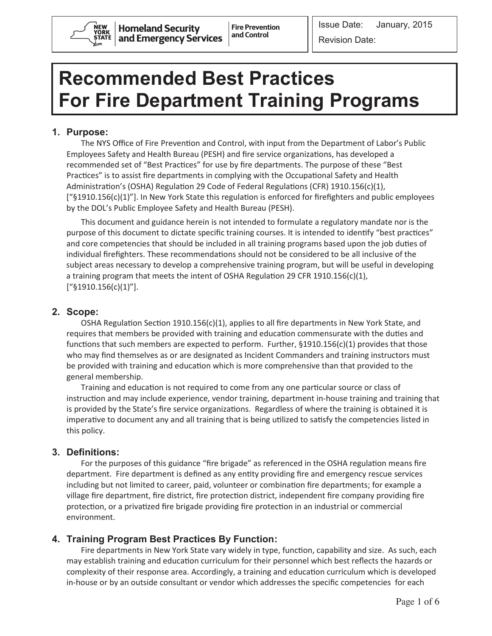

Revision Date:

٦

# **Recommended Best Practices For Fire Department Training Programs**

# **1. Purpose:**

The NYS Office of Fire Prevention and Control, with input from the Department of Labor's Public Employees Safety and Health Bureau (PESH) and fire service organizations, has developed a recommended set of "Best Practices" for use by fire departments. The purpose of these "Best Practices" is to assist fire departments in complying with the Occupational Safety and Health Administration's (OSHA) Regulation 29 Code of Federal Regulations (CFR) 1910.156(c)(1), ["§1910.156(c)(1)"]. In New York State this regulation is enforced for firefighters and public employees by the DOL's Public Employee Safety and Health Bureau (PESH).

This document and guidance herein is not intended to formulate a regulatory mandate nor is the purpose of this document to dictate specific training courses. It is intended to identify "best practices" and core competencies that should be included in all training programs based upon the job duties of individual firefighters. These recommendations should not be considered to be all inclusive of the subject areas necessary to develop a comprehensive training program, but will be useful in developing a training program that meets the intent of OSHA Regulation 29 CFR 1910.156(c)(1), ["§1910.156(c)(1)"].

## **2. Scope:**

OSHA Regulation Section 1910.156(c)(1), applies to all fire departments in New York State, and requires that members be provided with training and education commensurate with the duties and functions that such members are expected to perform. Further, §1910.156(c)(1) provides that those who may find themselves as or are designated as Incident Commanders and training instructors must be provided with training and education which is more comprehensive than that provided to the general membership.

Training and education is not required to come from any one particular source or class of instruction and may include experience, vendor training, department in-house training and training that is provided by the State's fire service organizations. Regardless of where the training is obtained it is imperative to document any and all training that is being utilized to satisfy the competencies listed in this policy.

## **3. Definitions:**

For the purposes of this guidance "fire brigade" as referenced in the OSHA regulation means fire department. Fire department is defined as any entity providing fire and emergency rescue services including but not limited to career, paid, volunteer or combination fire departments; for example a village fire department, fire district, fire protection district, independent fire company providing fire protection, or a privatized fire brigade providing fire protection in an industrial or commercial environment.

# **4. Training Program Best Practices By Function:**

Fire departments in New York State vary widely in type, function, capability and size. As such, each may establish training and education curriculum for their personnel which best reflects the hazards or complexity of their response area. Accordingly, a training and education curriculum which is developed in-house or by an outside consultant or vendor which addresses the specific competencies for each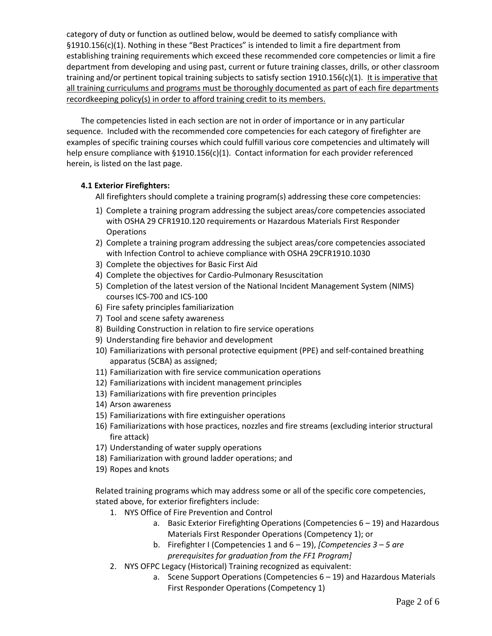category of duty or function as outlined below, would be deemed to satisfy compliance with §1910.156(c)(1). Nothing in these "Best Practices" is intended to limit a fire department from establishing training requirements which exceed these recommended core competencies or limit a fire department from developing and using past, current or future training classes, drills, or other classroom training and/or pertinent topical training subjects to satisfy section 1910.156(c)(1). It is imperative that all training curriculums and programs must be thoroughly documented as part of each fire departments recordkeeping policy(s) in order to afford training credit to its members.

The competencies listed in each section are not in order of importance or in any particular sequence. Included with the recommended core competencies for each category of firefighter are examples of specific training courses which could fulfill various core competencies and ultimately will help ensure compliance with §1910.156(c)(1). Contact information for each provider referenced herein, is listed on the last page.

## **4.1 Exterior Firefighters:**

All firefighters should complete a training program(s) addressing these core competencies:

- 1) Complete a training program addressing the subject areas/core competencies associated with OSHA 29 CFR1910.120 requirements or Hazardous Materials First Responder **Operations**
- 2) Complete a training program addressing the subject areas/core competencies associated with Infection Control to achieve compliance with OSHA 29CFR1910.1030
- 3) Complete the objectives for Basic First Aid
- 4) Complete the objectives for Cardio-Pulmonary Resuscitation
- 5) Completion of the latest version of the National Incident Management System (NIMS) courses ICS-700 and ICS-100
- 6) Fire safety principles familiarization
- 7) Tool and scene safety awareness
- 8) Building Construction in relation to fire service operations
- 9) Understanding fire behavior and development
- 10) Familiarizations with personal protective equipment (PPE) and self-contained breathing apparatus (SCBA) as assigned;
- 11) Familiarization with fire service communication operations
- 12) Familiarizations with incident management principles
- 13) Familiarizations with fire prevention principles
- 14) Arson awareness
- 15) Familiarizations with fire extinguisher operations
- 16) Familiarizations with hose practices, nozzles and fire streams (excluding interior structural fire attack)
- 17) Understanding of water supply operations
- 18) Familiarization with ground ladder operations; and
- 19) Ropes and knots

Related training programs which may address some or all of the specific core competencies, stated above, for exterior firefighters include:

- 1. NYS Office of Fire Prevention and Control
	- a. Basic Exterior Firefighting Operations (Competencies 6 19) and Hazardous Materials First Responder Operations (Competency 1); or
	- b. Firefighter I (Competencies 1 and 6 19), *[Competencies 3 – 5 are prerequisites for graduation from the FF1 Program]*
- 2. NYS OFPC Legacy (Historical) Training recognized as equivalent:
	- a. Scene Support Operations (Competencies 6 19) and Hazardous Materials First Responder Operations (Competency 1)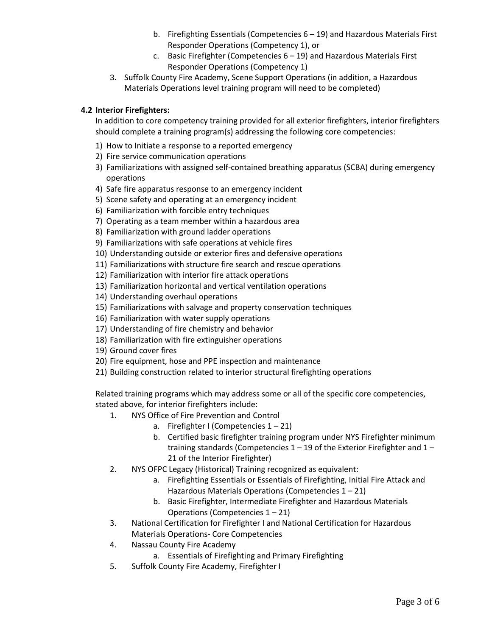- b. Firefighting Essentials (Competencies 6 19) and Hazardous Materials First Responder Operations (Competency 1), or
- c. Basic Firefighter (Competencies 6 19) and Hazardous Materials First Responder Operations (Competency 1)
- 3. Suffolk County Fire Academy, Scene Support Operations (in addition, a Hazardous Materials Operations level training program will need to be completed)

### **4.2 Interior Firefighters:**

In addition to core competency training provided for all exterior firefighters, interior firefighters should complete a training program(s) addressing the following core competencies:

- 1) How to Initiate a response to a reported emergency
- 2) Fire service communication operations
- 3) Familiarizations with assigned self-contained breathing apparatus (SCBA) during emergency operations
- 4) Safe fire apparatus response to an emergency incident
- 5) Scene safety and operating at an emergency incident
- 6) Familiarization with forcible entry techniques
- 7) Operating as a team member within a hazardous area
- 8) Familiarization with ground ladder operations
- 9) Familiarizations with safe operations at vehicle fires
- 10) Understanding outside or exterior fires and defensive operations
- 11) Familiarizations with structure fire search and rescue operations
- 12) Familiarization with interior fire attack operations
- 13) Familiarization horizontal and vertical ventilation operations
- 14) Understanding overhaul operations
- 15) Familiarizations with salvage and property conservation techniques
- 16) Familiarization with water supply operations
- 17) Understanding of fire chemistry and behavior
- 18) Familiarization with fire extinguisher operations
- 19) Ground cover fires
- 20) Fire equipment, hose and PPE inspection and maintenance
- 21) Building construction related to interior structural firefighting operations

Related training programs which may address some or all of the specific core competencies, stated above, for interior firefighters include:

- 1. NYS Office of Fire Prevention and Control
	- a. Firefighter I (Competencies  $1 21$ )
	- b. Certified basic firefighter training program under NYS Firefighter minimum training standards (Competencies 1 – 19 of the Exterior Firefighter and 1 – 21 of the Interior Firefighter)
- 2. NYS OFPC Legacy (Historical) Training recognized as equivalent:
	- a. Firefighting Essentials or Essentials of Firefighting, Initial Fire Attack and Hazardous Materials Operations (Competencies 1 – 21)
	- b. Basic Firefighter, Intermediate Firefighter and Hazardous Materials Operations (Competencies 1 – 21)
- 3. National Certification for Firefighter I and National Certification for Hazardous Materials Operations- Core Competencies
- 4. Nassau County Fire Academy
	- a. Essentials of Firefighting and Primary Firefighting
- 5. Suffolk County Fire Academy, Firefighter I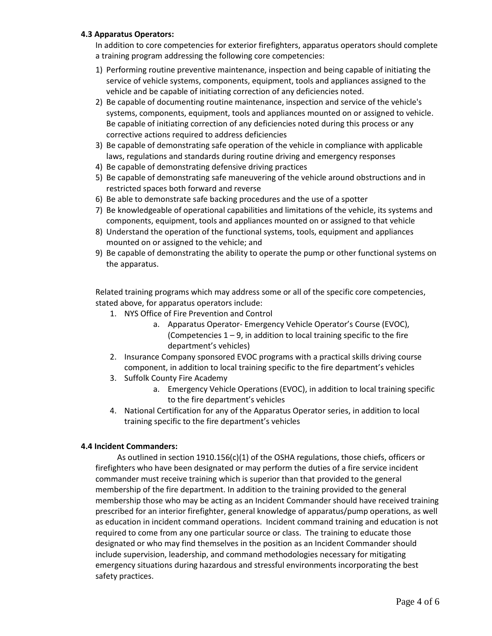#### **4.3 Apparatus Operators:**

In addition to core competencies for exterior firefighters, apparatus operators should complete a training program addressing the following core competencies:

- 1) Performing routine preventive maintenance, inspection and being capable of initiating the service of vehicle systems, components, equipment, tools and appliances assigned to the vehicle and be capable of initiating correction of any deficiencies noted.
- 2) Be capable of documenting routine maintenance, inspection and service of the vehicle's systems, components, equipment, tools and appliances mounted on or assigned to vehicle. Be capable of initiating correction of any deficiencies noted during this process or any corrective actions required to address deficiencies
- 3) Be capable of demonstrating safe operation of the vehicle in compliance with applicable laws, regulations and standards during routine driving and emergency responses
- 4) Be capable of demonstrating defensive driving practices
- 5) Be capable of demonstrating safe maneuvering of the vehicle around obstructions and in restricted spaces both forward and reverse
- 6) Be able to demonstrate safe backing procedures and the use of a spotter
- 7) Be knowledgeable of operational capabilities and limitations of the vehicle, its systems and components, equipment, tools and appliances mounted on or assigned to that vehicle
- 8) Understand the operation of the functional systems, tools, equipment and appliances mounted on or assigned to the vehicle; and
- 9) Be capable of demonstrating the ability to operate the pump or other functional systems on the apparatus.

Related training programs which may address some or all of the specific core competencies, stated above, for apparatus operators include:

- 1. NYS Office of Fire Prevention and Control
	- a. Apparatus Operator- Emergency Vehicle Operator's Course (EVOC), (Competencies  $1 - 9$ , in addition to local training specific to the fire department's vehicles)
- 2. Insurance Company sponsored EVOC programs with a practical skills driving course component, in addition to local training specific to the fire department's vehicles
- 3. Suffolk County Fire Academy
	- a. Emergency Vehicle Operations (EVOC), in addition to local training specific to the fire department's vehicles
- 4. National Certification for any of the Apparatus Operator series, in addition to local training specific to the fire department's vehicles

#### **4.4 Incident Commanders:**

As outlined in section 1910.156 $(c)(1)$  of the OSHA regulations, those chiefs, officers or firefighters who have been designated or may perform the duties of a fire service incident commander must receive training which is superior than that provided to the general membership of the fire department. In addition to the training provided to the general membership those who may be acting as an Incident Commander should have received training prescribed for an interior firefighter, general knowledge of apparatus/pump operations, as well as education in incident command operations. Incident command training and education is not required to come from any one particular source or class. The training to educate those designated or who may find themselves in the position as an Incident Commander should include supervision, leadership, and command methodologies necessary for mitigating emergency situations during hazardous and stressful environments incorporating the best safety practices.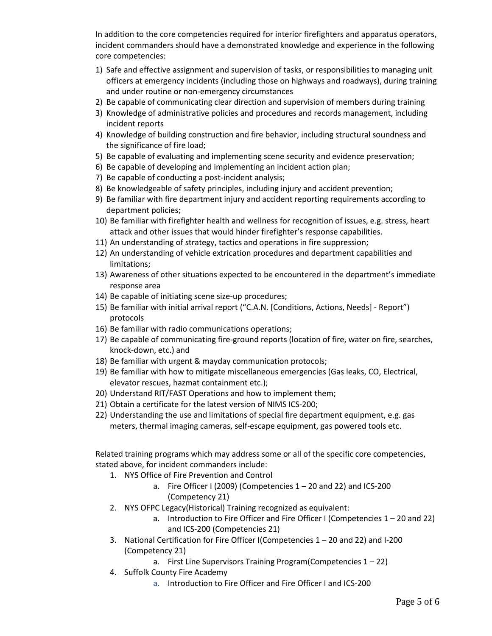In addition to the core competencies required for interior firefighters and apparatus operators, incident commanders should have a demonstrated knowledge and experience in the following core competencies:

- 1) Safe and effective assignment and supervision of tasks, or responsibilities to managing unit officers at emergency incidents (including those on highways and roadways), during training and under routine or non-emergency circumstances
- 2) Be capable of communicating clear direction and supervision of members during training
- 3) Knowledge of administrative policies and procedures and records management, including incident reports
- 4) Knowledge of building construction and fire behavior, including structural soundness and the significance of fire load;
- 5) Be capable of evaluating and implementing scene security and evidence preservation;
- 6) Be capable of developing and implementing an incident action plan;
- 7) Be capable of conducting a post-incident analysis;
- 8) Be knowledgeable of safety principles, including injury and accident prevention;
- 9) Be familiar with fire department injury and accident reporting requirements according to department policies;
- 10) Be familiar with firefighter health and wellness for recognition of issues, e.g. stress, heart attack and other issues that would hinder firefighter's response capabilities.
- 11) An understanding of strategy, tactics and operations in fire suppression;
- 12) An understanding of vehicle extrication procedures and department capabilities and limitations;
- 13) Awareness of other situations expected to be encountered in the department's immediate response area
- 14) Be capable of initiating scene size-up procedures;
- 15) Be familiar with initial arrival report ("C.A.N. [Conditions, Actions, Needs] Report") protocols
- 16) Be familiar with radio communications operations;
- 17) Be capable of communicating fire-ground reports (location of fire, water on fire, searches, knock-down, etc.) and
- 18) Be familiar with urgent & mayday communication protocols;
- 19) Be familiar with how to mitigate miscellaneous emergencies (Gas leaks, CO, Electrical, elevator rescues, hazmat containment etc.);
- 20) Understand RIT/FAST Operations and how to implement them;
- 21) Obtain a certificate for the latest version of NIMS ICS-200;
- 22) Understanding the use and limitations of special fire department equipment, e.g. gas meters, thermal imaging cameras, self-escape equipment, gas powered tools etc.

Related training programs which may address some or all of the specific core competencies, stated above, for incident commanders include:

- 1. NYS Office of Fire Prevention and Control
	- a. Fire Officer I (2009) (Competencies  $1 20$  and  $22$ ) and ICS-200 (Competency 21)
- 2. NYS OFPC Legacy(Historical) Training recognized as equivalent:
	- a. Introduction to Fire Officer and Fire Officer I (Competencies 1 20 and 22) and ICS-200 (Competencies 21)
- 3. National Certification for Fire Officer I(Competencies 1 20 and 22) and I-200 (Competency 21)
	- a. First Line Supervisors Training Program(Competencies  $1 22$ )
- 4. Suffolk County Fire Academy
	- a. Introduction to Fire Officer and Fire Officer I and ICS-200